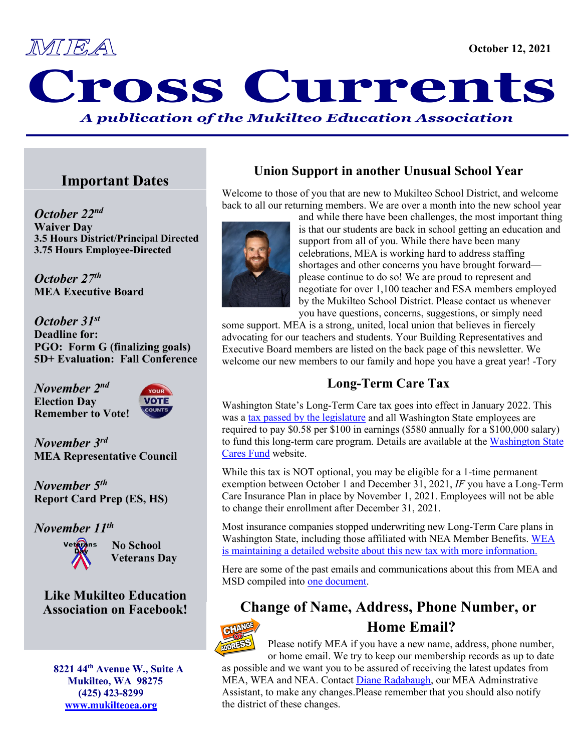

# MEA OSS Currents *A publication of the Mukilteo Education Association*

## **Important Dates**

*October 22nd* **Waiver Day 3.5 Hours District/Principal Directed 3.75 Hours Employee-Directed**

*October 27th* **MEA Executive Board**

*October 31st* **Deadline for:****PGO: Form G (finalizing goals) 5D+ Evaluation: Fall Conference**

*November 2nd* **Election Day Remember to Vote!**



*November 3rd* **MEA Representative Council**

*November 5th* **Report Card Prep (ES, HS)**

*November 11th* 



**No School Veterans Day**

## **Like Mukilteo Education Association on Facebook!**

 **8221 44th Avenue W., Suite A Mukilteo, WA 98275 (425) 423-8299 [www.mukilteoea.org](http://www.mukilteoea.org/)**

## **Union Support in another Unusual School Year**

Welcome to those of you that are new to Mukilteo School District, and welcome back to all our returning members. We are over a month into the new school year



and while there have been challenges, the most important thing is that our students are back in school getting an education and support from all of you. While there have been many celebrations, MEA is working hard to address staffing shortages and other concerns you have brought forward please continue to do so! We are proud to represent and negotiate for over 1,100 teacher and ESA members employed by the Mukilteo School District. Please contact us whenever you have questions, concerns, suggestions, or simply need

some support. MEA is a strong, united, local union that believes in fiercely advocating for our teachers and students. Your Building Representatives and Executive Board members are listed on the back page of this newsletter. We welcome our new members to our family and hope you have a great year! -Tory

## **Long-Term Care Tax**

Washington State's Long-Term Care tax goes into effect in January 2022. This was a [tax passed by the legislature](https://lawfilesext.leg.wa.gov/biennium/2021-22/Pdf/Bills/Session%20Laws/House/1323-S.SL.pdf#page=1) and all Washington State employees are required to pay \$0.58 per \$100 in earnings (\$580 annually for a \$100,000 salary) to fund this long-term care program. Details are available at the [Washington State](https://wacaresfund.wa.gov/)  [Cares Fund](https://wacaresfund.wa.gov/) website.

While this tax is NOT optional, you may be eligible for a 1-time permanent exemption between October 1 and December 31, 2021, *IF* you have a Long-Term Care Insurance Plan in place by November 1, 2021. Employees will not be able to change their enrollment after December 31, 2021.

Most insurance companies stopped underwriting new Long-Term Care plans in Washington State, including those affiliated with NEA Member Benefits. [WEA](https://www.washingtonea.org/membership/nea-member-benefits-october-2021/2021-long-term-care-insurance-information/)  [is maintaining a detailed website about this new tax with more information.](https://www.washingtonea.org/membership/nea-member-benefits-october-2021/2021-long-term-care-insurance-information/)

Here are some of the past emails and communications about this from MEA and MSD compiled into [one document.](https://washingtonea-my.sharepoint.com/:b:/g/personal/tkartchner_washingtonea_org/EUdcGiR-WRFMmMiEOnhHR_cBHGGcyhOxvf6dHqS5roYshA?e=JK3NXM)

## **Change of Name, Address, Phone Number, or**



## **Home Email?**

Please notify MEA if you have a new name, address, phone number, or home email. We try to keep our membership records as up to date

as possible and we want you to be assured of receiving the latest updates from MEA, WEA and NEA. Contact [Diane Radabaugh,](mailto:dradabaugh@washingtonea.org) our MEA Adminstrative Assistant, to make any changes.Please remember that you should also notify the district of these changes.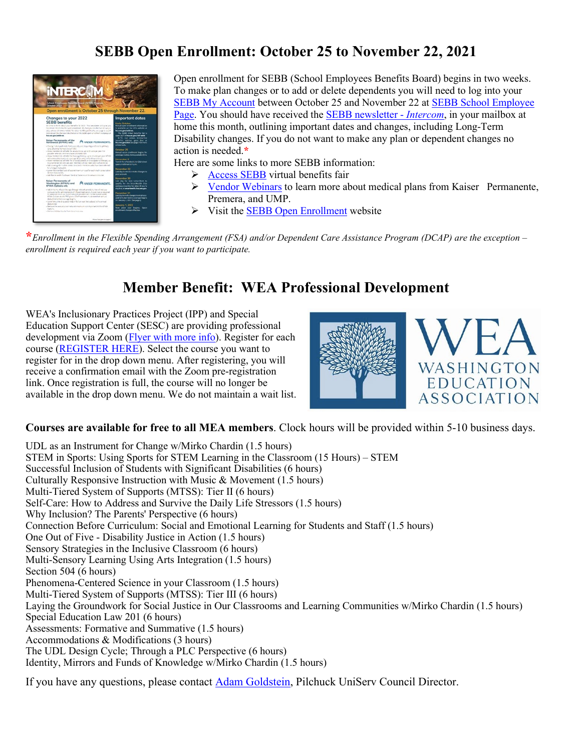## **SEBB Open Enrollment: October 25 to November 22, 2021**



Open enrollment for SEBB (School Employees Benefits Board) begins in two weeks. To make plan changes or to add or delete dependents you will need to log into your [SEBB My Account](https://myaccount.hca.wa.gov/auth) between October 25 and November 22 at [SEBB School Employee](https://www.hca.wa.gov/employee-retiree-benefits/school-employees)  [Page.](https://www.hca.wa.gov/employee-retiree-benefits/school-employees) You should have received th[e SEBB newsletter -](https://www.hca.wa.gov/assets/pebb/sebb-intercom-employee-newsletter-102021.pdf) *Intercom*, in your mailbox at home this month, outlining important dates and changes, including Long-Term Disability changes. If you do not want to make any plan or dependent changes no action is needed.**\***

Here are some links to more SEBB information:

- $\triangleright$  [Access SEBB](https://www.hca.wa.gov/employee-retiree-benefits/virtual-benefits-fair-sebb) virtual benefits fair
- ▶ [Vendor Webinars](https://www.hca.wa.gov/employee-retiree-benefits/open-enrollment-webinars-sebb) to learn more about medical plans from Kaiser Permanente, Premera, and UMP.
- $\triangleright$  Visit the **SEBB Open Enrollment** website

**\****Enrollment in the Flexible Spending Arrangement (FSA) and/or Dependent Care Assistance Program (DCAP) are the exception – enrollment is required each year if you want to participate.*

## **Member Benefit: WEA Professional Development**

WEA's Inclusionary Practices Project (IPP) and Special Education Support Center (SESC) are providing professional development via Zoom (*Flyer with more info*). Register for each course [\(REGISTER HERE\)](https://nam11.safelinks.protection.outlook.com/?url=https%3A%2F%2Fforms.washingtonea.org%2FForms%2Fpdonline&data=04%7C01%7Ctkartchner%40washingtonea.org%7Cf3ae03b59fc942484add08d98aaa6810%7Cc51bd6ee3b224c0ba0fdfc3c3d347ca7%7C0%7C0%7C637693287834860773%7CUnknown%7CTWFpbGZsb3d8eyJWIjoiMC4wLjAwMDAiLCJQIjoiV2luMzIiLCJBTiI6Ik1haWwiLCJXVCI6Mn0%3D%7C1000&sdata=kimXHzC2%2BeC%2Bn3GQtO7WtCCl4YPdpj%2B5G4O%2Fh1OSebo%3D&reserved=0). Select the course you want to register for in the drop down menu. After registering, you will receive a confirmation email with the Zoom pre-registration link. Once registration is full, the course will no longer be available in the drop down menu. We do not maintain a wait list.





**Courses are available for free to all MEA members**. Clock hours will be provided within 5-10 business days.

UDL as an Instrument for Change w/Mirko Chardin (1.5 hours) STEM in Sports: Using Sports for STEM Learning in the Classroom (15 Hours) – STEM Successful Inclusion of Students with Significant Disabilities (6 hours) Culturally Responsive Instruction with Music & Movement (1.5 hours) Multi-Tiered System of Supports (MTSS): Tier II (6 hours) Self-Care: How to Address and Survive the Daily Life Stressors (1.5 hours) Why Inclusion? The Parents' Perspective (6 hours) Connection Before Curriculum: Social and Emotional Learning for Students and Staff (1.5 hours) One Out of Five - Disability Justice in Action (1.5 hours) Sensory Strategies in the Inclusive Classroom (6 hours) Multi-Sensory Learning Using Arts Integration (1.5 hours) Section 504 (6 hours) Phenomena-Centered Science in your Classroom (1.5 hours) Multi-Tiered System of Supports (MTSS): Tier III (6 hours) Laying the Groundwork for Social Justice in Our Classrooms and Learning Communities w/Mirko Chardin (1.5 hours) Special Education Law 201 (6 hours) Assessments: Formative and Summative (1.5 hours) Accommodations & Modifications (3 hours) The UDL Design Cycle; Through a PLC Perspective (6 hours) Identity, Mirrors and Funds of Knowledge w/Mirko Chardin (1.5 hours)

If you have any questions, please contact [Adam Goldstein,](mailto:agoldstein@washingtonea.org) Pilchuck UniServ Council Director.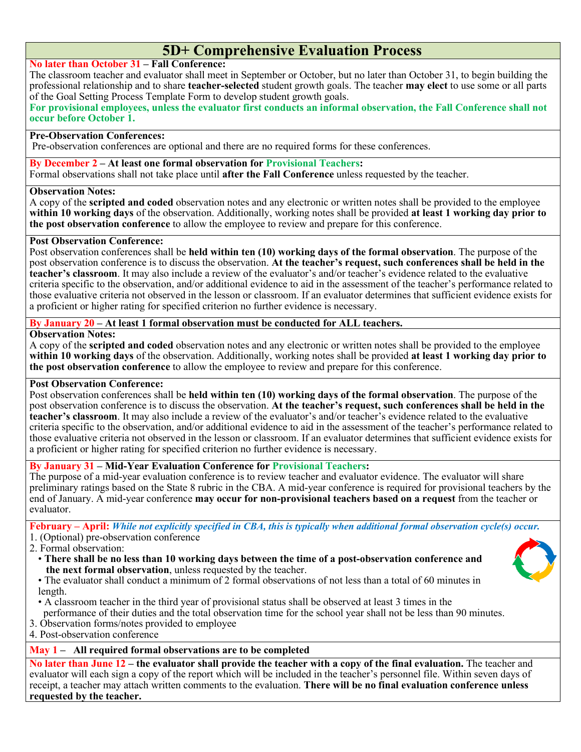## **5D+ Comprehensive Evaluation Process**

#### **No later than October 31 – Fall Conference:**

The classroom teacher and evaluator shall meet in September or October, but no later than October 31, to begin building the professional relationship and to share **teacher-selected** student growth goals. The teacher **may elect** to use some or all parts of the Goal Setting Process Template Form to develop student growth goals.

**For provisional employees, unless the evaluator first conducts an informal observation, the Fall Conference shall not occur before October 1.**

#### **Pre-Observation Conferences:**

Pre-observation conferences are optional and there are no required forms for these conferences.

**By December 2 – At least one formal observation for Provisional Teachers:** Formal observations shall not take place until **after the Fall Conference** unless requested by the teacher.

#### **Observation Notes:**

A copy of the **scripted and coded** observation notes and any electronic or written notes shall be provided to the employee **within 10 working days** of the observation. Additionally, working notes shall be provided **at least 1 working day prior to the post observation conference** to allow the employee to review and prepare for this conference.

#### **Post Observation Conference:**

Post observation conferences shall be **held within ten (10) working days of the formal observation**. The purpose of the post observation conference is to discuss the observation. **At the teacher's request, such conferences shall be held in the teacher's classroom**. It may also include a review of the evaluator's and/or teacher's evidence related to the evaluative criteria specific to the observation, and/or additional evidence to aid in the assessment of the teacher's performance related to those evaluative criteria not observed in the lesson or classroom. If an evaluator determines that sufficient evidence exists for a proficient or higher rating for specified criterion no further evidence is necessary.

#### **By January 20 – At least 1 formal observation must be conducted for ALL teachers.**

#### **Observation Notes:**

A copy of the **scripted and coded** observation notes and any electronic or written notes shall be provided to the employee **within 10 working days** of the observation. Additionally, working notes shall be provided **at least 1 working day prior to the post observation conference** to allow the employee to review and prepare for this conference.

#### **Post Observation Conference:**

Post observation conferences shall be **held within ten (10) working days of the formal observation**. The purpose of the post observation conference is to discuss the observation. **At the teacher's request, such conferences shall be held in the teacher's classroom**. It may also include a review of the evaluator's and/or teacher's evidence related to the evaluative criteria specific to the observation, and/or additional evidence to aid in the assessment of the teacher's performance related to those evaluative criteria not observed in the lesson or classroom. If an evaluator determines that sufficient evidence exists for a proficient or higher rating for specified criterion no further evidence is necessary.

#### **By January 31 – Mid-Year Evaluation Conference for Provisional Teachers:**

The purpose of a mid-year evaluation conference is to review teacher and evaluator evidence. The evaluator will share preliminary ratings based on the State 8 rubric in the CBA. A mid-year conference is required for provisional teachers by the end of January. A mid-year conference **may occur for non-provisional teachers based on a request** from the teacher or evaluator.

**February – April:** *While not explicitly specified in CBA, this is typically when additional formal observation cycle(s) occur.* 1. (Optional) pre-observation conference

- 2. Formal observation:
	- **There shall be no less than 10 working days between the time of a post-observation conference and the next formal observation**, unless requested by the teacher.



- The evaluator shall conduct a minimum of 2 formal observations of not less than a total of 60 minutes in length.
- A classroom teacher in the third year of provisional status shall be observed at least 3 times in the
- performance of their duties and the total observation time for the school year shall not be less than 90 minutes.
- 3. Observation forms/notes provided to employee
- 4. Post-observation conference

#### **May 1 – All required formal observations are to be completed**

**No later than June 12 – the evaluator shall provide the teacher with a copy of the final evaluation.** The teacher and evaluator will each sign a copy of the report which will be included in the teacher's personnel file. Within seven days of receipt, a teacher may attach written comments to the evaluation. **There will be no final evaluation conference unless requested by the teacher.**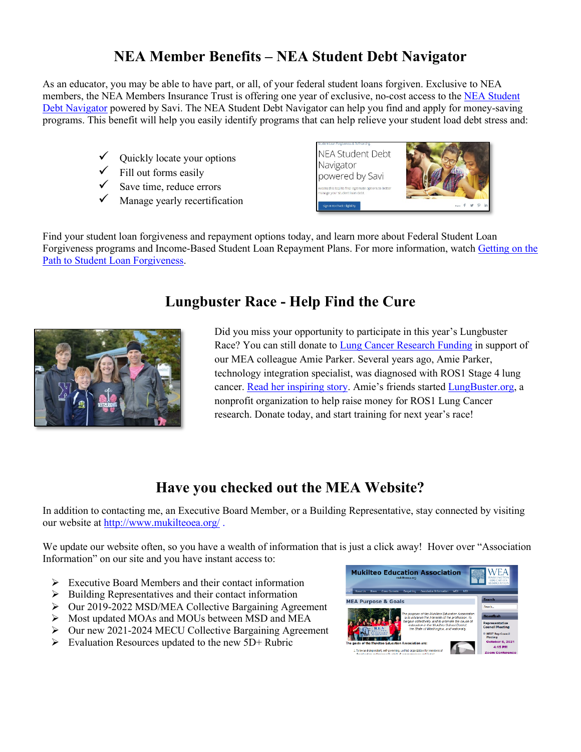## **NEA Member Benefits – NEA Student Debt Navigator**

As an educator, you may be able to have part, or all, of your federal student loans forgiven. Exclusive to NEA members, the NEA Members Insurance Trust is offering one year of exclusive, no-cost access to the NEA Student [Debt Navigator](https://www.neamb.com/products/nea-student-debt-navigator) powered by Savi. The NEA Student Debt Navigator can help you find and apply for money-saving programs. This benefit will help you easily identify programs that can help relieve your student load debt stress and:

- $\checkmark$  Quickly locate your options
- $\checkmark$  Fill out forms easily
- $\checkmark$  Save time, reduce errors
- Manage yearly recertification



Find your student loan forgiveness and repayment options today, and learn more about Federal Student Loan Forgiveness programs and Income-Based Student Loan Repayment Plans. For more information, watch [Getting on the](https://www.neamb.com/student-loan-debt/getting-on-the-path-to-student-loan-forgiveness)  [Path to Student Loan Forgiveness.](https://www.neamb.com/student-loan-debt/getting-on-the-path-to-student-loan-forgiveness)

## **Lungbuster Race - Help Find the Cure**



Did you miss your opportunity to participate in this year's Lungbuster Race? You can still donate to [Lung Cancer Research Funding](https://www.paypal.com/donate/?hosted_button_id=567Y552SUUWTE) in support of our MEA colleague Amie Parker. Several years ago, Amie Parker, technology integration specialist, was diagnosed with ROS1 Stage 4 lung cancer. [Read her inspiring story.](https://www.lungbuster.org/amies-story) Amie's friends started [LungBuster.org,](https://www.lungbuster.org/) a nonprofit organization to help raise money for ROS1 Lung Cancer research. Donate today, and start training for next year's race!

## **Have you checked out the MEA Website?**

In addition to contacting me, an Executive Board Member, or a Building Representative, stay connected by visiting our website at<http://www.mukilteoea.org/>.

We update our website often, so you have a wealth of information that is just a click away! Hover over "Association" Information" on our site and you have instant access to:

- $\triangleright$  Executive Board Members and their contact information
- $\triangleright$  Building Representatives and their contact information
- $\triangleright$  Our 2019-2022 MSD/MEA Collective Bargaining Agreement
- $\triangleright$  Most updated MOAs and MOUs between MSD and MEA
- $\triangleright$  Our new 2021-2024 MECU Collective Bargaining Agreement
- $\triangleright$  Evaluation Resources updated to the new 5D+ Rubric